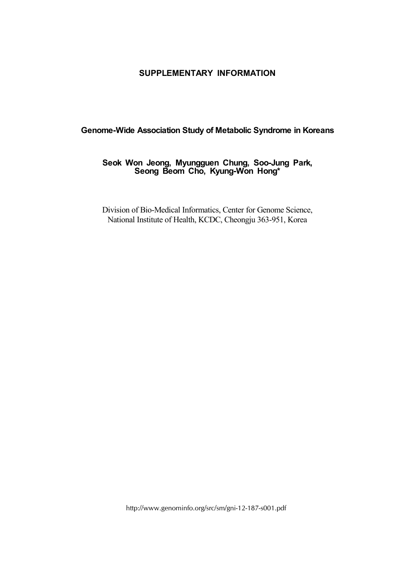## **SUPPLEMENTARY INFORMATION**

## **Genome-Wide Association Study of Metabolic Syndrome in Koreans**

## **Seok Won Jeong, Myungguen Chung, Soo-Jung Park, Seong Beom Cho, Kyung-Won Hong\***

Division of Bio-Medical Informatics, Center for Genome Science, National Institute of Health, KCDC, Cheongju 363-951, Korea

http://www.genominfo.org/src/sm/gni-12-187-s001.pdf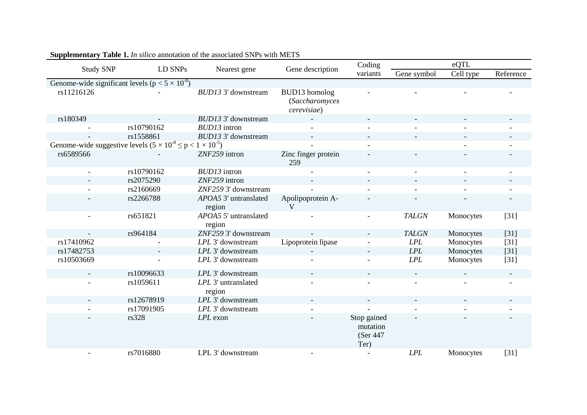|                                                                             | LD SNPs    | Nearest gene                    | Gene description                                      | Coding                                       | eQTL                     |                          |                          |  |  |  |  |
|-----------------------------------------------------------------------------|------------|---------------------------------|-------------------------------------------------------|----------------------------------------------|--------------------------|--------------------------|--------------------------|--|--|--|--|
| <b>Study SNP</b>                                                            |            |                                 |                                                       | variants                                     | Gene symbol              | Cell type                | Reference                |  |  |  |  |
| Genome-wide significant levels ( $p < 5 \times 10^{-8}$ )                   |            |                                 |                                                       |                                              |                          |                          |                          |  |  |  |  |
| rs11216126                                                                  |            | BUD13 3' downstream             | <b>BUD13</b> homolog<br>(Saccharomyces<br>cerevisiae) |                                              |                          |                          |                          |  |  |  |  |
| rs180349                                                                    |            | BUD13 3' downstream             |                                                       |                                              |                          |                          |                          |  |  |  |  |
|                                                                             | rs10790162 | <b>BUD13</b> intron             |                                                       |                                              |                          |                          |                          |  |  |  |  |
|                                                                             | rs1558861  | <b>BUD13 3' downstream</b>      |                                                       |                                              |                          |                          | $\overline{\phantom{a}}$ |  |  |  |  |
| Genome-wide suggestive levels $(5 \times 10^{-8} \le p < 1 \times 10^{-5})$ |            |                                 |                                                       |                                              |                          |                          |                          |  |  |  |  |
| rs6589566                                                                   |            | ZNF259 intron                   | Zinc finger protein<br>259                            |                                              |                          |                          |                          |  |  |  |  |
| $\overline{\phantom{a}}$                                                    | rs10790162 | <b>BUD13</b> intron             |                                                       | $\blacksquare$                               | $\overline{\phantom{a}}$ | $\overline{\phantom{a}}$ | $\overline{\phantom{a}}$ |  |  |  |  |
|                                                                             | rs2075290  | ZNF259 intron                   |                                                       |                                              |                          |                          |                          |  |  |  |  |
|                                                                             | rs2160669  | ZNF259 3' downstream            |                                                       |                                              |                          |                          |                          |  |  |  |  |
|                                                                             | rs2266788  | APOA5 3' untranslated<br>region | Apolipoprotein A-<br>$\mathbf{V}$                     |                                              |                          |                          |                          |  |  |  |  |
|                                                                             | rs651821   | APOA5 5' untranslated<br>region |                                                       | $\overline{\phantom{a}}$                     | <b>TALGN</b>             | Monocytes                | $[31]$                   |  |  |  |  |
|                                                                             | rs964184   | ZNF259 3' downstream            |                                                       |                                              | <b>TALGN</b>             | Monocytes                | $[31]$                   |  |  |  |  |
| rs17410962                                                                  |            | LPL 3' downstream               | Lipoprotein lipase                                    |                                              | LPL                      | Monocytes                | $[31]$                   |  |  |  |  |
| rs17482753                                                                  |            | LPL 3' downstream               | $\overline{\phantom{a}}$                              | $\overline{\phantom{a}}$                     | LPL                      | Monocytes                | $[31]$                   |  |  |  |  |
| rs10503669                                                                  |            | LPL 3' downstream               |                                                       |                                              | LPL                      | Monocytes                | $[31]$                   |  |  |  |  |
|                                                                             | rs10096633 | LPL 3' downstream               |                                                       |                                              |                          |                          | $\sim$                   |  |  |  |  |
|                                                                             | rs1059611  | LPL 3' untranslated<br>region   |                                                       |                                              |                          |                          |                          |  |  |  |  |
|                                                                             | rs12678919 | LPL 3' downstream               |                                                       |                                              |                          |                          |                          |  |  |  |  |
|                                                                             | rs17091905 | LPL 3' downstream               |                                                       |                                              |                          |                          |                          |  |  |  |  |
|                                                                             | rs328      | LPL exon                        |                                                       | Stop gained<br>mutation<br>(Ser 447)<br>Ter) |                          |                          |                          |  |  |  |  |
|                                                                             | rs7016880  | LPL 3' downstream               |                                                       | $\overline{\phantom{a}}$                     | LPL                      | Monocytes                | $[31]$                   |  |  |  |  |

## **Supplementary Table 1.** *In silico* annotation of the associated SNPs with METS